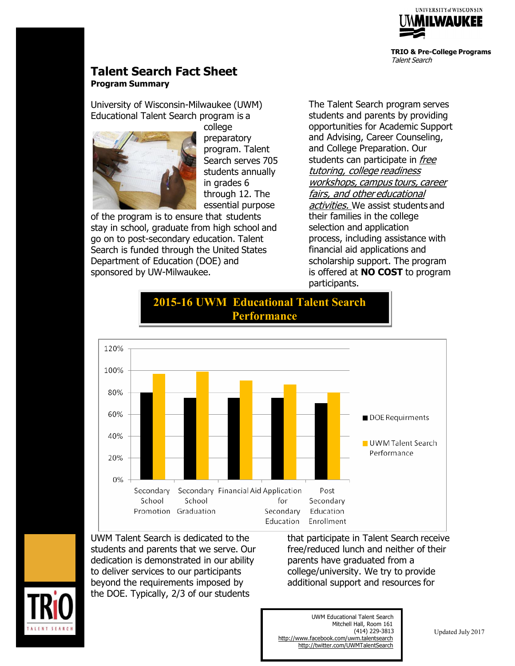

**TRIO & Pre-College Programs** Talent Search

# **Talent Search Fact Sheet Program Summary**

University of Wisconsin-Milwaukee (UWM) Educational Talent Search program is a



college preparatory program. Talent Search serves 705 students annually in grades 6 through 12. The essential purpose

of the program is to ensure that students stay in school, graduate from high school and go on to post-secondary education. Talent Search is funded through the United States Department of Education (DOE) and sponsored by UW-Milwaukee.

The Talent Search program serves students and parents by providing opportunities for Academic Support and Advising, Career Counseling, and College Preparation. Our students can participate in free tutoring, college readiness workshops, campus tours, career fairs, and other educational activities. We assist students and their families in the college selection and application process, including assistance with financial aid applications and scholarship support. The program is offered at **NO COST** to program participants.



**2015-16 UWM Educational Talent Search Performance**

UWM Talent Search is dedicated to the students and parents that we serve. Our dedication is demonstrated in our ability to deliver services to our participants beyond the requirements imposed by the DOE. Typically, 2/3 of our students

that participate in Talent Search receive free/reduced lunch and neither of their parents have graduated from a college/university. We try to provide additional support and resources for

UWM Educational Talent Search Mitchell Hall, Room 161 (414) 229-3813 <http://www.facebook.com/uwm.talentsearch> <http://twitter.com/UWMTalentSearch>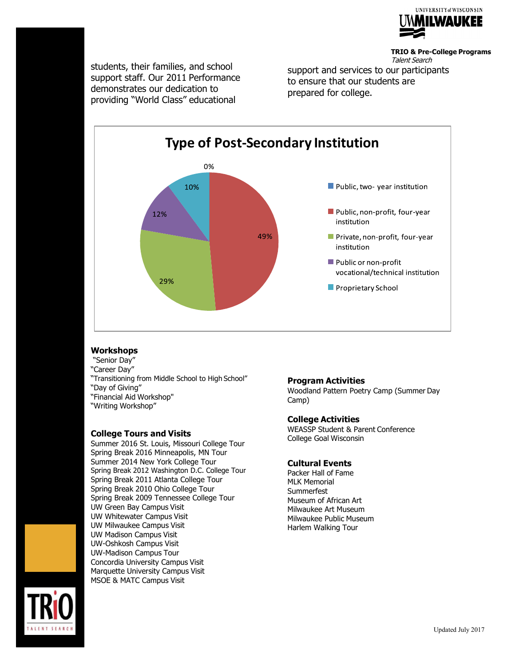

**TRIO & Pre-College Programs** Talent Search

students, their families, and school support staff. Our 2011 Performance demonstrates our dedication to providing "World Class" educational

support and services to our participants to ensure that our students are prepared for college.



## **Workshops**

"Senior Day" "Career Day" "Transitioning from Middle School to High School" "Day of Giving"

"Financial Aid Workshop" "Writing Workshop"

#### **College Tours and Visits**

Summer 2016 St. Louis, Missouri College Tour Spring Break 2016 Minneapolis, MN Tour Summer 2014 New York College Tour Spring Break 2012 Washington D.C. College Tour Spring Break 2011 Atlanta College Tour Spring Break 2010 Ohio College Tour Spring Break 2009 Tennessee College Tour UW Green Bay Campus Visit UW Whitewater Campus Visit UW Milwaukee Campus Visit UW Madison Campus Visit UW-Oshkosh Campus Visit UW-Madison Campus Tour Concordia University Campus Visit Marquette University Campus Visit MSOE & MATC Campus Visit

## **Program Activities**

Woodland Pattern Poetry Camp (Summer Day Camp)

#### **College Activities**

WEASSP Student & Parent Conference College Goal Wisconsin

## **Cultural Events**

Packer Hall of Fame MLK Memorial **Summerfest** Museum of African Art Milwaukee Art Museum Milwaukee Public Museum Harlem Walking Tour

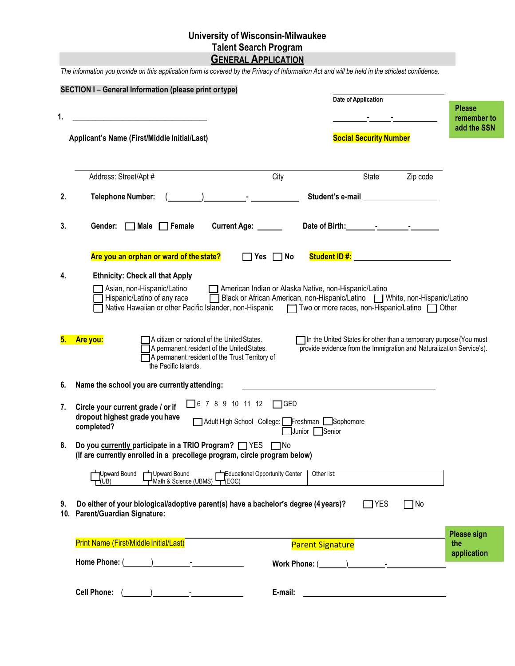# **University of Wisconsin-Milwaukee Talent Search Program GENERAL APPLICATION**

The information you provide on this application form is covered by the Privacy of Information Act and will be held in the strictest confidence.

| 1. | <b>SECTION I- General Information (please print or type)</b>                                                                                                                                                    |                                                                                                                                      | Date of Application                                                                                                                                                                                                            |           | <b>Please</b><br>remember to<br>add the SSN |
|----|-----------------------------------------------------------------------------------------------------------------------------------------------------------------------------------------------------------------|--------------------------------------------------------------------------------------------------------------------------------------|--------------------------------------------------------------------------------------------------------------------------------------------------------------------------------------------------------------------------------|-----------|---------------------------------------------|
|    | Applicant's Name (First/Middle Initial/Last)                                                                                                                                                                    |                                                                                                                                      | <b>Social Security Number</b>                                                                                                                                                                                                  |           |                                             |
|    | Address: Street/Apt #                                                                                                                                                                                           | City                                                                                                                                 | State                                                                                                                                                                                                                          | Zip code  |                                             |
| 2. | <b>Telephone Number:</b>                                                                                                                                                                                        |                                                                                                                                      | Student's e-mail Student by the state of the state of the state of the state of the state of the state of the state of the state of the state of the state of the state of the state of the state of the state of the state of |           |                                             |
| 3. | Gender:<br>$\Box$ Male $\Box$ Female                                                                                                                                                                            | Current Age:                                                                                                                         |                                                                                                                                                                                                                                |           |                                             |
|    | Are you an orphan or ward of the state?                                                                                                                                                                         | $\Box$ Yes $\Box$ No                                                                                                                 | Student ID #: Web The Management of the Student ID #:                                                                                                                                                                          |           |                                             |
| 4. | <b>Ethnicity: Check all that Apply</b><br>Asian, non-Hispanic/Latino<br>Hispanic/Latino of any race<br>Native Hawaiian or other Pacific Islander, non-Hispanic   Two or more races, non-Hispanic/Latino   Other | American Indian or Alaska Native, non-Hispanic/Latino<br>Black or African American, non-Hispanic/Latino   White, non-Hispanic/Latino |                                                                                                                                                                                                                                |           |                                             |
| 5. | A citizen or national of the United States.<br>Are you:<br>A permanent resident of the United States.<br>A permanent resident of the Trust Territory of<br>the Pacific Islands.                                 |                                                                                                                                      | In the United States for other than a temporary purpose (You must<br>provide evidence from the Immigration and Naturalization Service's).                                                                                      |           |                                             |
| 6. | Name the school you are currently attending:                                                                                                                                                                    |                                                                                                                                      |                                                                                                                                                                                                                                |           |                                             |
| 7. | $\Box$ 6 7 8 9 10 11 12<br>Circle your current grade / or if<br>dropout highest grade you have<br>completed?                                                                                                    | $\bigcap$ GED<br>Adult High School College: Freshman Sophomore<br>Junior Senior                                                      |                                                                                                                                                                                                                                |           |                                             |
| 8. | Do you currently participate in a TRIO Program? TYES TNo<br>(If are currently enrolled in a precollege program, circle program below)                                                                           |                                                                                                                                      |                                                                                                                                                                                                                                |           |                                             |
|    | Upward Bound<br>Jpward Bound<br>Math & Science (UBMS)<br>UB)<br>(EOC)                                                                                                                                           | Educational Opportunity Center<br>Other list:                                                                                        |                                                                                                                                                                                                                                |           |                                             |
| 9. | Do either of your biological/adoptive parent(s) have a bachelor's degree (4 years)?<br>10. Parent/Guardian Signature:                                                                                           |                                                                                                                                      | $\Box$ YES                                                                                                                                                                                                                     | $\Box$ No |                                             |
|    | Print Name (First/Middle Initial/Last)                                                                                                                                                                          | <b>Parent Signature</b>                                                                                                              |                                                                                                                                                                                                                                |           | <b>Please sign</b><br>the                   |
|    |                                                                                                                                                                                                                 |                                                                                                                                      | Work Phone: ( and ) and ( and ) and ( and ) and ( and ) and ( and ) and ( and ) and ( and ) and ( and ) and ( and ) and ( and ) and ( and ) and ( and ) and ( and ) and ( and ) and ( and ) and ( and ) and ( and ) and ( and  |           | application                                 |
|    | Cell Phone: $(\_\_)$                                                                                                                                                                                            | E-mail:                                                                                                                              |                                                                                                                                                                                                                                |           |                                             |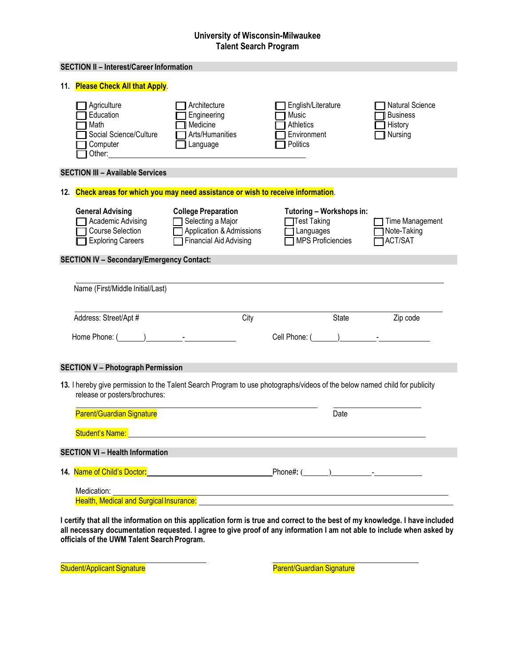## **University of Wisconsin-Milwaukee Talent Search Program**

|     | <b>SECTION II - Interest/Career Information</b>                                                                                                                                                                                |                                                                                                              |                                                                                                                                                                                                                               |                                                                 |
|-----|--------------------------------------------------------------------------------------------------------------------------------------------------------------------------------------------------------------------------------|--------------------------------------------------------------------------------------------------------------|-------------------------------------------------------------------------------------------------------------------------------------------------------------------------------------------------------------------------------|-----------------------------------------------------------------|
| 11. | <b>Please Check All that Apply.</b>                                                                                                                                                                                            |                                                                                                              |                                                                                                                                                                                                                               |                                                                 |
|     | Agriculture<br>Education<br>Math<br>Social Science/Culture<br>Computer<br>Other:                                                                                                                                               | Architecture<br>Engineering<br>Medicine<br>Arts/Humanities<br>Language                                       | English/Literature<br>Music<br>Athletics<br>Environment<br>Politics                                                                                                                                                           | <b>Natural Science</b><br><b>Business</b><br>History<br>Nursing |
|     | <b>SECTION III - Available Services</b>                                                                                                                                                                                        |                                                                                                              |                                                                                                                                                                                                                               |                                                                 |
| 12. | Check areas for which you may need assistance or wish to receive information.                                                                                                                                                  |                                                                                                              |                                                                                                                                                                                                                               |                                                                 |
|     | <b>General Advising</b><br>Academic Advising<br>Course Selection<br><b>Exploring Careers</b>                                                                                                                                   | <b>College Preparation</b><br>Selecting a Major<br>Application & Admissions<br><b>Financial Aid Advising</b> | Tutoring - Workshops in:<br>Test Taking<br>Languages<br><b>MPS Proficiencies</b>                                                                                                                                              | Time Management<br>Note-Taking<br><b>ACT/SAT</b>                |
|     | <b>SECTION IV - Secondary/Emergency Contact:</b>                                                                                                                                                                               |                                                                                                              |                                                                                                                                                                                                                               |                                                                 |
|     | Name (First/Middle Initial/Last)                                                                                                                                                                                               |                                                                                                              |                                                                                                                                                                                                                               |                                                                 |
|     | Address: Street/Apt #                                                                                                                                                                                                          | City                                                                                                         | State                                                                                                                                                                                                                         | Zip code                                                        |
|     | Home Phone: ( ) Fig. 2.1 and 2.1 and 2.1 and 2.1 and 2.1 and 2.1 and 2.1 and 2.1 and 2.1 and 2.1 and 2.1 and 2.1 and 2.1 and 2.1 and 2.1 and 2.1 and 2.1 and 2.1 and 2.1 and 2.1 and 2.1 and 2.1 and 2.1 and 2.1 and 2.1 and 2 |                                                                                                              | Cell Phone: ( and ) and the set of the set of the set of the set of the set of the set of the set of the set of the set of the set of the set of the set of the set of the set of the set of the set of the set of the set of |                                                                 |
|     | <b>SECTION V - Photograph Permission</b>                                                                                                                                                                                       |                                                                                                              |                                                                                                                                                                                                                               |                                                                 |
|     | release or posters/brochures:                                                                                                                                                                                                  |                                                                                                              | 13. I hereby give permission to the Talent Search Program to use photographs/videos of the below named child for publicity                                                                                                    |                                                                 |
|     | <b>Parent/Guardian Signature</b>                                                                                                                                                                                               |                                                                                                              | Date                                                                                                                                                                                                                          |                                                                 |
|     | Student's Name:                                                                                                                                                                                                                |                                                                                                              |                                                                                                                                                                                                                               |                                                                 |
|     | <b>SECTION VI - Health Information</b>                                                                                                                                                                                         |                                                                                                              |                                                                                                                                                                                                                               |                                                                 |
|     |                                                                                                                                                                                                                                |                                                                                                              |                                                                                                                                                                                                                               |                                                                 |
|     | Medication:                                                                                                                                                                                                                    |                                                                                                              | Health, Medical and Surgical Insurance: Manual According to the Control of the Control of the Control of the Co                                                                                                               |                                                                 |

**I certify that all the information on this application form is true and correct to the best of my knowledge. I have included all necessary documentation requested. I agree to give proof of any information I am not able to include when asked by officials of the UWM Talent SearchProgram.**

Student/Applicant Signature **Parent/Guardian Signature** Parent/Guardian Signature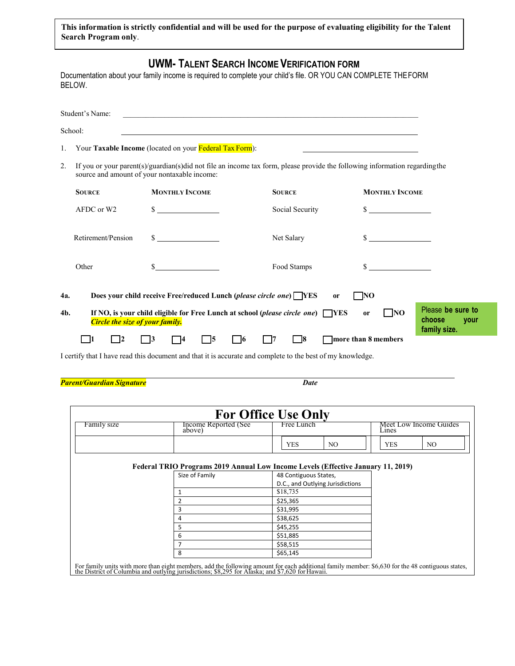This information is strictly confidential and will be used for the purpose of evaluating eligibility for the Talent **Search Program only**.

|     | BELOW.                                 |                                                                    | <b>UWM- TALENT SEARCH INCOME VERIFICATION FORM</b><br>Documentation about your family income is required to complete your child's file. OR YOU CAN COMPLETE THE FORM |                              |                                                     |
|-----|----------------------------------------|--------------------------------------------------------------------|----------------------------------------------------------------------------------------------------------------------------------------------------------------------|------------------------------|-----------------------------------------------------|
|     | Student's Name:                        |                                                                    |                                                                                                                                                                      |                              |                                                     |
|     | School:                                |                                                                    | <u> 1989 - John Stein, Amerikaansk konstantinopler († 1989)</u>                                                                                                      |                              |                                                     |
| 1.  |                                        | Your Taxable Income (located on your Federal Tax Form):            |                                                                                                                                                                      |                              |                                                     |
| 2.  |                                        | source and amount of your nontaxable income:                       | If you or your parent(s)/guardian(s)did not file an income tax form, please provide the following information regarding the                                          |                              |                                                     |
|     | <b>SOURCE</b>                          | <b>MONTHLY INCOME</b>                                              | <b>SOURCE</b>                                                                                                                                                        | <b>MONTHLY INCOME</b>        |                                                     |
|     | AFDC or W2                             | $\frac{\text{S}}{\text{S}}$                                        | Social Security                                                                                                                                                      | $\sim$                       |                                                     |
|     | Retirement/Pension                     | $\sim$                                                             | Net Salary                                                                                                                                                           |                              |                                                     |
|     | Other                                  | S                                                                  | Food Stamps                                                                                                                                                          | S.                           |                                                     |
| 4a. |                                        | Does your child receive Free/reduced Lunch (please circle one) VES |                                                                                                                                                                      | NO<br><sub>or</sub>          |                                                     |
| 4b. | <b>Circle the size of your family.</b> |                                                                    | If NO, is your child eligible for Free Lunch at school (please circle one) $\Box$ YES                                                                                | $\Box$ NO<br>or              | Please be sure to<br>choose<br>your<br>family size. |
|     | 12<br>- 11                             | $\vert 3 \vert$<br>- 15<br>14                                      | 78<br>$\Box$ 6<br>$\sqrt{7}$                                                                                                                                         | more than 8 members          |                                                     |
|     |                                        |                                                                    | I certify that I have read this document and that it is accurate and complete to the best of my knowledge.                                                           |                              |                                                     |
|     | Parent/Guardian Signature              |                                                                    | <b>Date</b>                                                                                                                                                          |                              |                                                     |
|     |                                        |                                                                    | <b>For Office Use Only</b>                                                                                                                                           |                              |                                                     |
|     | Family size                            | Income Reported (See<br>above)                                     | Free Lunch                                                                                                                                                           | Lines                        | Meet Low Income Guides                              |
|     |                                        |                                                                    | <b>YES</b>                                                                                                                                                           | N <sub>O</sub><br><b>YES</b> | N <sub>O</sub>                                      |

#### **Federal TRIO Programs 2019 Annual Low Income Levels (Effective January 11, 2019)**

| Size of Family | 48 Contiguous States,            |
|----------------|----------------------------------|
|                | D.C., and Outlying Jurisdictions |
|                | \$18,735                         |
| $\overline{2}$ | \$25,365                         |
| 3              | \$31,995                         |
| $\overline{4}$ | \$38,625                         |
| 5              | \$45,255                         |
| 6              | \$51,885                         |
| $\overline{7}$ | \$58,515                         |
| 8              | \$65,145                         |

For family units with more than eight members, add the following amount for each additional family member: \$6,630 for the 48 contiguous states, the District of Columbia and outlying jurisdictions; \$8,295 for Alaska; and \$7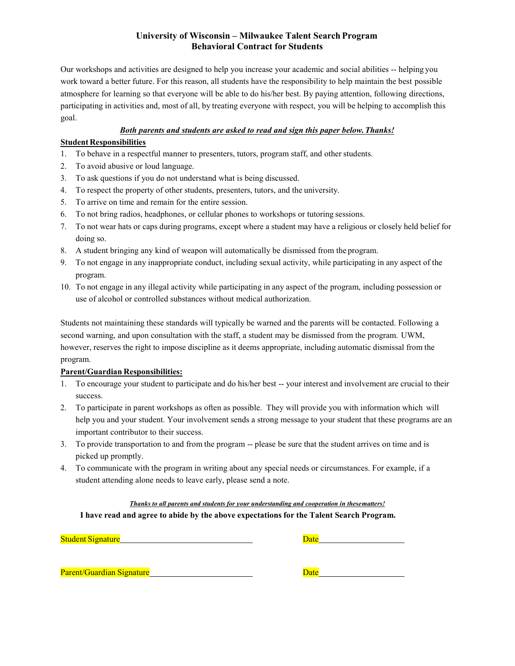#### **University of Wisconsin – Milwaukee Talent Search Program Behavioral Contract for Students**

Our workshops and activities are designed to help you increase your academic and social abilities -- helping you work toward a better future. For this reason, all students have the responsibility to help maintain the best possible atmosphere for learning so that everyone will be able to do his/her best. By paying attention, following directions, participating in activities and, most of all, by treating everyone with respect, you will be helping to accomplish this goal.

#### *Both parents and students are asked to read and sign this paper below.Thanks!*

#### **Student Responsibilities**

- 1. To behave in a respectful manner to presenters, tutors, program staff, and other students.
- 2. To avoid abusive or loud language.
- 3. To ask questions if you do not understand what is being discussed.
- 4. To respect the property of other students, presenters, tutors, and the university.
- 5. To arrive on time and remain for the entire session.
- 6. To not bring radios, headphones, or cellular phones to workshops or tutoring sessions.
- 7. To not wear hats or caps during programs, except where a student may have a religious or closely held belief for doing so.
- 8. A student bringing any kind of weapon will automatically be dismissed from the program.
- 9. To not engage in any inappropriate conduct, including sexual activity, while participating in any aspect of the program.
- 10. To not engage in any illegal activity while participating in any aspect of the program, including possession or use of alcohol or controlled substances without medical authorization.

Students not maintaining these standards will typically be warned and the parents will be contacted. Following a second warning, and upon consultation with the staff, a student may be dismissed from the program. UWM, however, reserves the right to impose discipline as it deems appropriate, including automatic dismissal from the program.

#### **Parent/Guardian Responsibilities:**

- 1. To encourage your student to participate and do his/her best -- your interest and involvement are crucial to their success.
- 2. To participate in parent workshops as often as possible. They will provide you with information which will help you and your student. Your involvement sends a strong message to your student that these programs are an important contributor to their success.
- 3. To provide transportation to and from the program -- please be sure that the student arrives on time and is picked up promptly.
- 4. To communicate with the program in writing about any special needs or circumstances. For example, if a student attending alone needs to leave early, please send a note.

*Thanks to all parents and students for your understanding and cooperation in thesematters!* **I have read and agree to abide by the above expectations for the Talent Search Program.**

| <b>Student Signature</b>         | Date |
|----------------------------------|------|
|                                  |      |
|                                  |      |
| <b>Parent/Guardian Signature</b> | Date |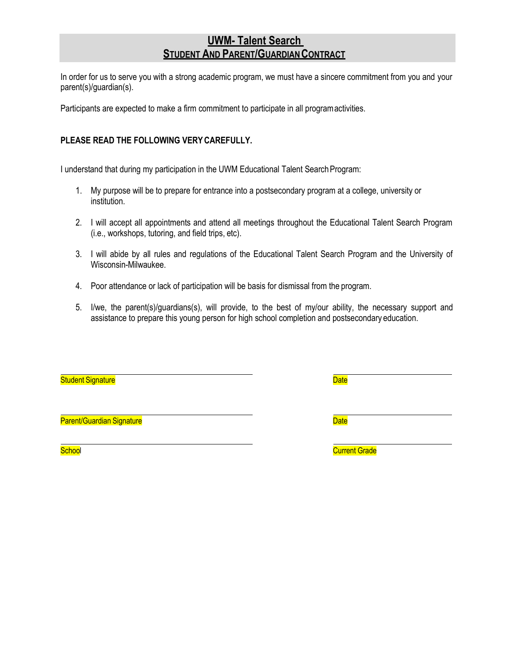# **UWM- Talent Search STUDENT AND PARENT/GUARDIAN CONTRACT**

In order for us to serve you with a strong academic program, we must have a sincere commitment from you and your parent(s)/guardian(s).

Participants are expected to make a firm commitment to participate in all programactivities.

## **PLEASE READ THE FOLLOWING VERYCAREFULLY.**

I understand that during my participation in the UWM Educational Talent SearchProgram:

- 1. My purpose will be to prepare for entrance into a postsecondary program at a college, university or institution.
- 2. I will accept all appointments and attend all meetings throughout the Educational Talent Search Program (i.e., workshops, tutoring, and field trips, etc).
- 3. I will abide by all rules and regulations of the Educational Talent Search Program and the University of Wisconsin-Milwaukee.
- 4. Poor attendance or lack of participation will be basis for dismissal from the program.
- 5. I/we, the parent(s)/guardians(s), will provide, to the best of my/our ability, the necessary support and assistance to prepare this young person for high school completion and postsecondary education.

| <b>Student Signature</b>  | <b>Date</b>          |
|---------------------------|----------------------|
| Parent/Guardian Signature | <b>Date</b>          |
| School                    | <b>Current Grade</b> |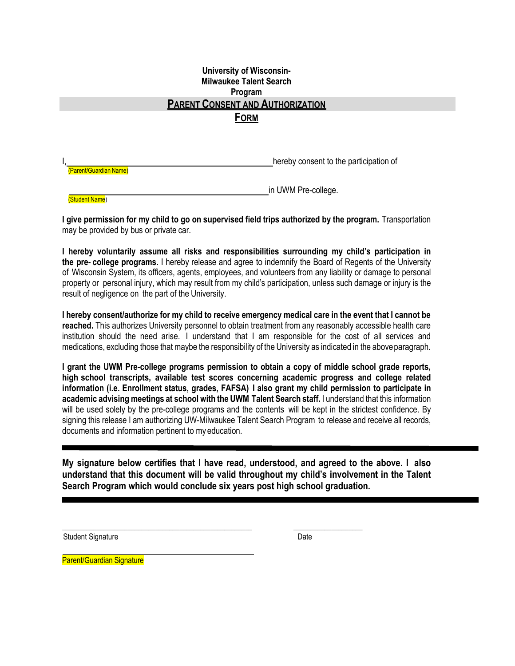## **University of Wisconsin-Milwaukee Talent Search Program PARENT CONSENT AND AUTHORIZATION FORM**

hereby consent to the participation of (Parent/Guardian Name)

in UWM Pre-college.

(Student Name)

**I give permission for my child to go on supervised field trips authorized by the program.** Transportation may be provided by bus or private car.

**I hereby voluntarily assume all risks and responsibilities surrounding my child's participation in the pre- college programs.** I hereby release and agree to indemnify the Board of Regents of the University of Wisconsin System, its officers, agents, employees, and volunteers from any liability or damage to personal property or personal injury, which may result from my child's participation, unless such damage or injury is the result of negligence on the part of the University.

**I hereby consent/authorize for my child to receive emergency medical care in the event that I cannot be reached.** This authorizes University personnel to obtain treatment from any reasonably accessible health care institution should the need arise. I understand that I am responsible for the cost of all services and medications, excluding those that maybe the responsibility of the University as indicated in the aboveparagraph.

**I grant the UWM Pre-college programs permission to obtain a copy of middle school grade reports, high school transcripts, available test scores concerning academic progress and college related information (i.e. Enrollment status, grades, FAFSA) I also grant my child permission to participate in academic advising meetings at school with the UWM Talent Search staff.** I understand that this information will be used solely by the pre-college programs and the contents will be kept in the strictest confidence. By signing this release I am authorizing UW-Milwaukee Talent Search Program to release and receive all records, documents and information pertinent to my education.

**My signature below certifies that I have read, understood, and agreed to the above. I also understand that this document will be valid throughout my child's involvement in the Talent Search Program which would conclude six years post high school graduation.** 

 **\_\_\_\_\_\_\_\_\_\_\_\_\_\_\_\_\_\_\_\_\_\_\_\_\_\_\_\_\_\_\_\_\_\_\_\_\_\_\_\_\_\_\_\_\_\_\_\_\_\_\_\_\_\_\_ \_\_\_\_\_\_\_\_\_\_\_\_\_\_\_\_\_\_\_\_**

Student Signature Date

Parent/Guardian Signature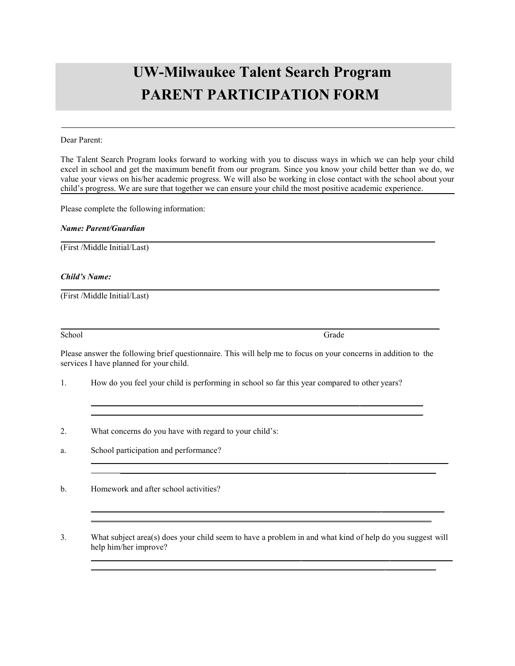# **UW-Milwaukee Talent Search Program PARENT PARTICIPATION FORM**

#### Dear Parent:

The Talent Search Program looks forward to working with you to discuss ways in which we can help your child excel in school and get the maximum benefit from our program. Since you know your child better than we do, we value your views on his/her academic progress. We will also be working in close contact with the school about your child's progress. We are sure that together we can ensure your child the most positive academic experience.

Please complete the following information:

#### *Name: Parent/Guardian*

(First /Middle Initial/Last)

#### *Child's Name:*

(First /Middle Initial/Last)

School Grade

Please answer the following brief questionnaire. This will help me to focus on your concerns in addition to the services I have planned for your child.

- 1. How do you feel your child is performing in school so far this year compared to other years?
- 2. What concerns do you have with regard to your child's:

a. School participation and performance?

b. Homework and after school activities?

3. What subject area(s) does your child seem to have a problem in and what kind of help do you suggest will help him/her improve?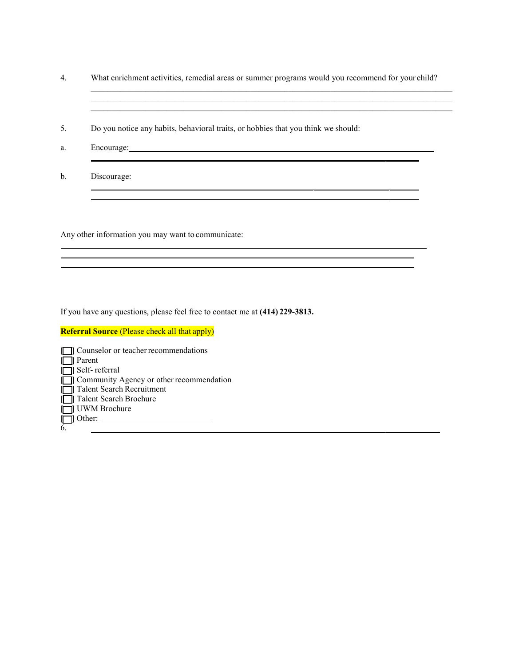4. What enrichment activities, remedial areas or summer programs would you recommend for your child? \_\_\_\_\_\_\_\_\_\_\_\_\_\_\_\_\_\_\_\_\_\_\_\_\_\_\_\_\_\_\_\_\_\_\_\_\_\_\_\_\_\_\_\_\_\_\_\_\_\_\_\_\_\_\_\_\_\_\_\_\_\_\_\_\_\_\_\_\_\_\_\_\_\_\_\_\_\_\_\_\_\_\_\_\_\_

 $\mathcal{L}_\mathcal{L} = \{ \mathcal{L}_\mathcal{L} = \{ \mathcal{L}_\mathcal{L} = \{ \mathcal{L}_\mathcal{L} = \{ \mathcal{L}_\mathcal{L} = \{ \mathcal{L}_\mathcal{L} = \{ \mathcal{L}_\mathcal{L} = \{ \mathcal{L}_\mathcal{L} = \{ \mathcal{L}_\mathcal{L} = \{ \mathcal{L}_\mathcal{L} = \{ \mathcal{L}_\mathcal{L} = \{ \mathcal{L}_\mathcal{L} = \{ \mathcal{L}_\mathcal{L} = \{ \mathcal{L}_\mathcal{L} = \{ \mathcal{L}_\mathcal{$  $\_$  , and the state of the state of the state of the state of the state of the state of the state of the state of the state of the state of the state of the state of the state of the state of the state of the state of the

5. Do you notice any habits, behavioral traits, or hobbies that you think we should:

and the control of the control of the control of the control of the control of the control of the control of the

- a. Encourage:
- b. Discourage:

Any other information you may want to communicate:

If you have any questions, please feel free to contact me at **(414) 229-3813.**

#### **Referral Source** (Please check all that apply)

|    | Counselor or teacher recommendations     |
|----|------------------------------------------|
| II | ll Parent                                |
|    | $\Box$ Self-referral                     |
|    | Community Agency or other recommendation |
|    | Talent Search Recruitment                |
|    | <b>□ Talent Search Brochure</b>          |
|    | UWM Brochure                             |
|    | $\Box$ Other:                            |
| 6  |                                          |